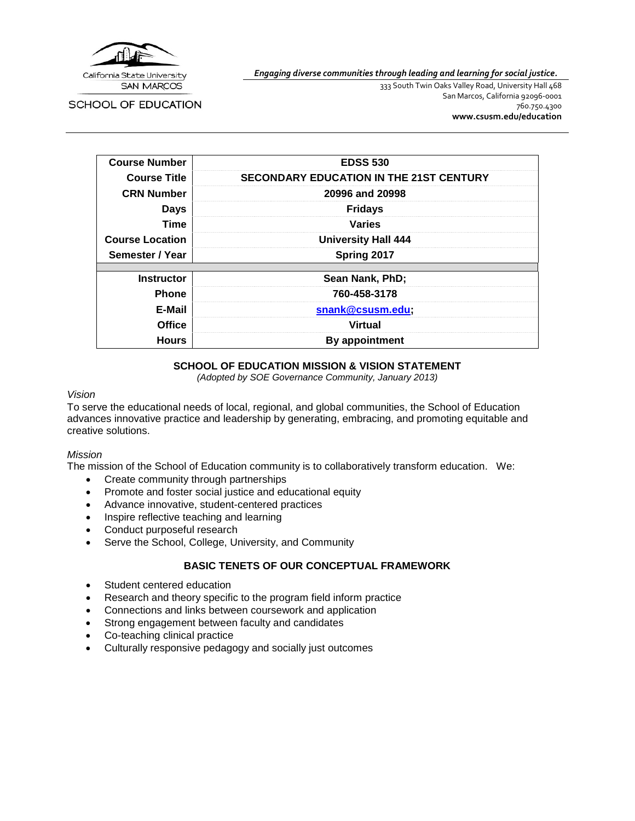

*Engaging diverse communities through leading and learning for social justice.*

SCHOOL OF EDUCATION

333 South Twin Oaks Valley Road, University Hall 468 San Marcos, California 92096-0001 760.750.4300 **[www.csusm.edu/education](http://www.csusm.edu/education)**

| <b>Course Number</b>   | <b>EDSS 530</b>                                |  |  |  |
|------------------------|------------------------------------------------|--|--|--|
| <b>Course Title</b>    | <b>SECONDARY EDUCATION IN THE 21ST CENTURY</b> |  |  |  |
| <b>CRN Number</b>      | 20996 and 20998                                |  |  |  |
| <b>Days</b>            | <b>Fridays</b>                                 |  |  |  |
| Time                   | <b>Varies</b>                                  |  |  |  |
| <b>Course Location</b> | <b>University Hall 444</b>                     |  |  |  |
| Semester / Year        | Spring 2017                                    |  |  |  |
|                        |                                                |  |  |  |
| <b>Instructor</b>      | Sean Nank, PhD;                                |  |  |  |
| <b>Phone</b>           | 760-458-3178                                   |  |  |  |
| E-Mail                 | snank@csusm.edu;                               |  |  |  |
| Office                 | <b>Virtual</b>                                 |  |  |  |
| <b>Hours</b>           | By appointment                                 |  |  |  |

## **SCHOOL OF EDUCATION MISSION & VISION STATEMENT**

*(Adopted by SOE Governance Community, January 2013)*

#### *Vision*

To serve the educational needs of local, regional, and global communities, the School of Education advances innovative practice and leadership by generating, embracing, and promoting equitable and creative solutions.

## *Mission*

The mission of the School of Education community is to collaboratively transform education. We:

- Create community through partnerships
- Promote and foster social justice and educational equity
- Advance innovative, student-centered practices
- Inspire reflective teaching and learning
- Conduct purposeful research
- Serve the School, College, University, and Community

## **BASIC TENETS OF OUR CONCEPTUAL FRAMEWORK**

- Student centered education
- Research and theory specific to the program field inform practice
- Connections and links between coursework and application
- Strong engagement between faculty and candidates
- Co-teaching clinical practice
- Culturally responsive pedagogy and socially just outcomes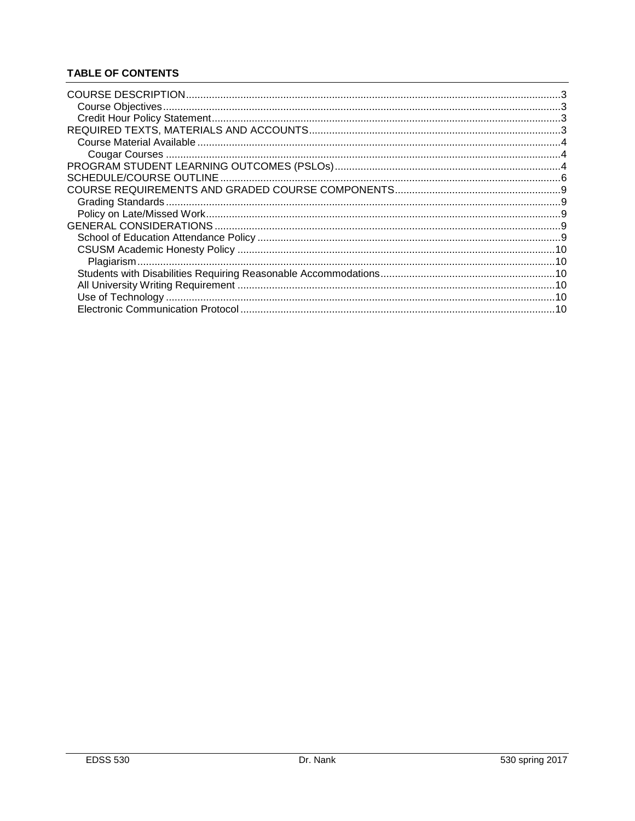# **TABLE OF CONTENTS**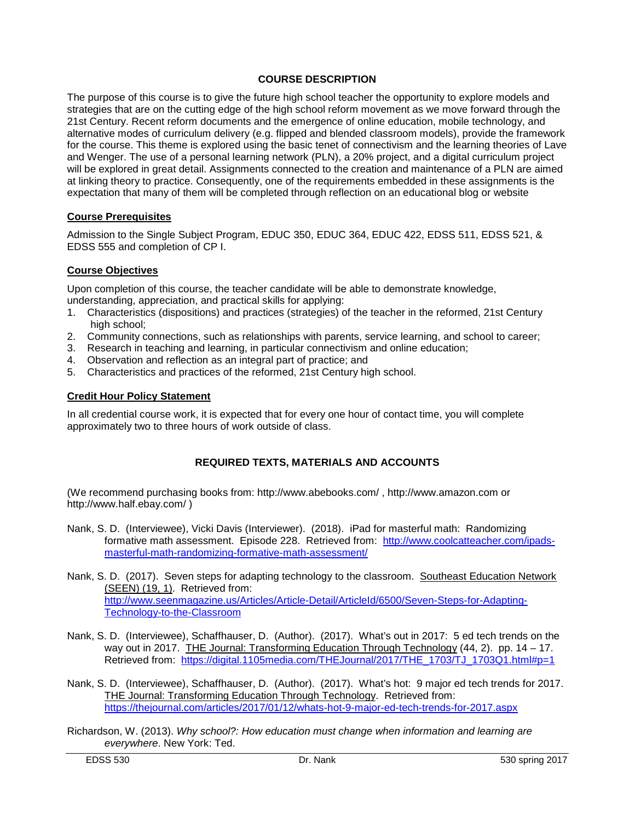## **COURSE DESCRIPTION**

<span id="page-2-0"></span>The purpose of this course is to give the future high school teacher the opportunity to explore models and strategies that are on the cutting edge of the high school reform movement as we move forward through the 21st Century. Recent reform documents and the emergence of online education, mobile technology, and alternative modes of curriculum delivery (e.g. flipped and blended classroom models), provide the framework for the course. This theme is explored using the basic tenet of connectivism and the learning theories of Lave and Wenger. The use of a personal learning network (PLN), a 20% project, and a digital curriculum project will be explored in great detail. Assignments connected to the creation and maintenance of a PLN are aimed at linking theory to practice. Consequently, one of the requirements embedded in these assignments is the expectation that many of them will be completed through reflection on an educational blog or website

# **Course Prerequisites**

Admission to the Single Subject Program, EDUC 350, EDUC 364, EDUC 422, EDSS 511, EDSS 521, & EDSS 555 and completion of CP I.

# **Course Objectives**

Upon completion of this course, the teacher candidate will be able to demonstrate knowledge, understanding, appreciation, and practical skills for applying:

- 1. Characteristics (dispositions) and practices (strategies) of the teacher in the reformed, 21st Century high school;
- 2. Community connections, such as relationships with parents, service learning, and school to career;
- 3. Research in teaching and learning, in particular connectivism and online education;
- 4. Observation and reflection as an integral part of practice; and
- 5. Characteristics and practices of the reformed, 21st Century high school.

## <span id="page-2-1"></span>**Credit Hour Policy Statement**

In all credential course work, it is expected that for every one hour of contact time, you will complete approximately two to three hours of work outside of class.

## **REQUIRED TEXTS, MATERIALS AND ACCOUNTS**

(We recommend purchasing books from:<http://www.abebooks.com/> , [http://www.amazon.com](http://www.amazon.com/) or <http://www.half.ebay.com/> )

- Nank, S. D. (Interviewee), Vicki Davis (Interviewer). (2018). iPad for masterful math: Randomizing formative math assessment. Episode 228. Retrieved from: [http://www.coolcatteacher.com/ipads](http://www.coolcatteacher.com/ipads-masterful-math-randomizing-formative-math-assessment/)[masterful-math-randomizing-formative-math-assessment/](http://www.coolcatteacher.com/ipads-masterful-math-randomizing-formative-math-assessment/)
- Nank, S. D. (2017). Seven steps for adapting technology to the classroom. Southeast Education Network (SEEN) (19, 1). Retrieved from: [http://www.seenmagazine.us/Articles/Article-Detail/ArticleId/6500/Seven-Steps-for-Adapting-](http://www.seenmagazine.us/Articles/Article-Detail/ArticleId/6500/Seven-Steps-for-Adapting-Technology-to-the-Classroom)[Technology-to-the-Classroom](http://www.seenmagazine.us/Articles/Article-Detail/ArticleId/6500/Seven-Steps-for-Adapting-Technology-to-the-Classroom)
- Nank, S. D. (Interviewee), Schaffhauser, D. (Author). (2017). What's out in 2017: 5 ed tech trends on the way out in 2017. THE Journal: Transforming Education Through Technology (44, 2). pp. 14 – 17. Retrieved from: [https://digital.1105media.com/THEJournal/2017/THE\\_1703/TJ\\_1703Q1.html#p=1](https://digital.1105media.com/THEJournal/2017/THE_1703/TJ_1703Q1.html#p=1)
- Nank, S. D. (Interviewee), Schaffhauser, D. (Author). (2017). What's hot: 9 major ed tech trends for 2017. THE Journal: Transforming Education Through Technology. Retrieved from: <https://thejournal.com/articles/2017/01/12/whats-hot-9-major-ed-tech-trends-for-2017.aspx>
- Richardson, W. (2013). *Why school?: How education must change when information and learning are everywhere*. New York: Ted.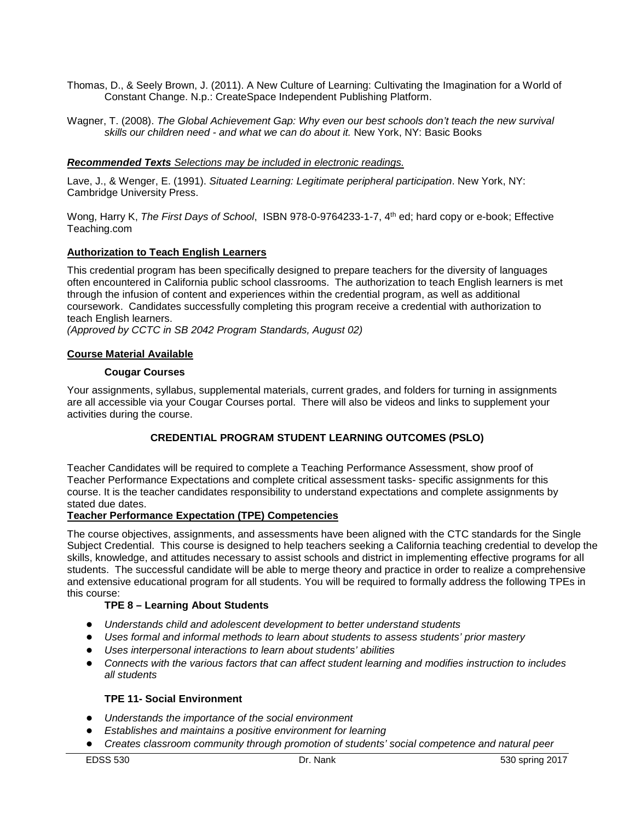- Thomas, D., & Seely Brown, J. (2011). A New Culture of Learning: Cultivating the Imagination for a World of Constant Change. N.p.: CreateSpace Independent Publishing Platform.
- Wagner, T. (2008). *The Global Achievement Gap: Why even our best schools don't teach the new survival skills our children need - and what we can do about it.* New York, NY: Basic Books

## *Recommended Texts Selections may be included in electronic readings.*

Lave, J., & Wenger, E. (1991). *Situated Learning: Legitimate peripheral participation*. New York, NY: Cambridge University Press.

Wong, Harry K, *The First Days of School*, ISBN 978-0-9764233-1-7, 4th ed; hard copy or e-book; Effective Teaching.com

### **Authorization to Teach English Learners**

This credential program has been specifically designed to prepare teachers for the diversity of languages often encountered in California public school classrooms. The authorization to teach English learners is met through the infusion of content and experiences within the credential program, as well as additional coursework. Candidates successfully completing this program receive a credential with authorization to teach English learners.

*(Approved by CCTC in SB 2042 Program Standards, August 02)*

### <span id="page-3-1"></span><span id="page-3-0"></span>**Course Material Available**

### **Cougar Courses**

Your assignments, syllabus, supplemental materials, current grades, and folders for turning in assignments are all accessible via your Cougar Courses portal. There will also be videos and links to supplement your activities during the course.

## **CREDENTIAL PROGRAM STUDENT LEARNING OUTCOMES (PSLO)**

<span id="page-3-2"></span>Teacher Candidates will be required to complete a Teaching Performance Assessment, show proof of Teacher Performance Expectations and complete critical assessment tasks- specific assignments for this course. It is the teacher candidates responsibility to understand expectations and complete assignments by stated due dates.

## **Teacher Performance Expectation (TPE) Competencies**

The course objectives, assignments, and assessments have been aligned with the CTC standards for the Single Subject Credential. This course is designed to help teachers seeking a California teaching credential to develop the skills, knowledge, and attitudes necessary to assist schools and district in implementing effective programs for all students. The successful candidate will be able to merge theory and practice in order to realize a comprehensive and extensive educational program for all students. You will be required to formally address the following TPEs in this course:

## **TPE 8 – Learning About Students**

- *Understands child and adolescent development to better understand students*
- *Uses formal and informal methods to learn about students to assess students' prior mastery*
- *Uses interpersonal interactions to learn about students' abilities*
- *Connects with the various factors that can affect student learning and modifies instruction to includes all students*

### **TPE 11- Social Environment**

- *Understands the importance of the social environment*
- *Establishes and maintains a positive environment for learning*
- *Creates classroom community through promotion of students' social competence and natural peer*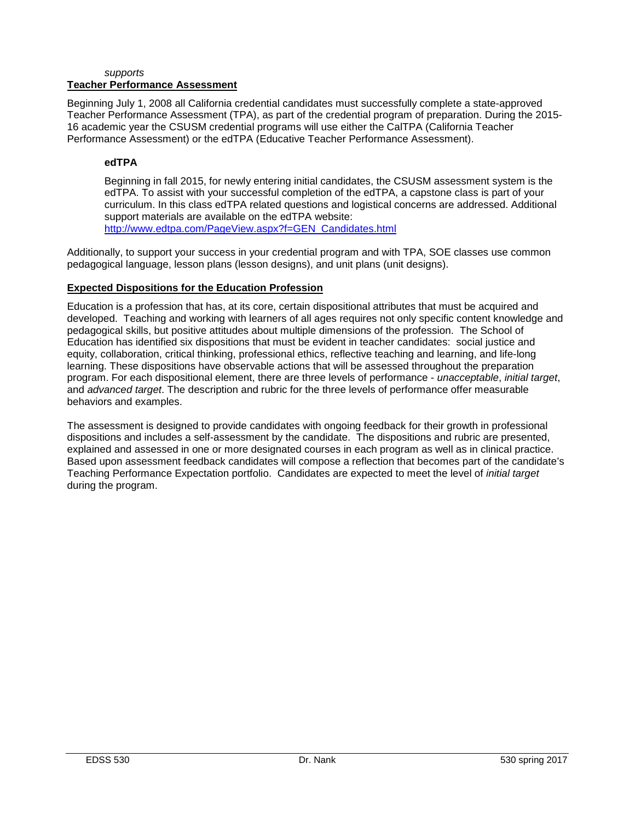#### *supports* **Teacher Performance Assessment**

Beginning July 1, 2008 all California credential candidates must successfully complete a state-approved Teacher Performance Assessment (TPA), as part of the credential program of preparation. During the 2015- 16 academic year the CSUSM credential programs will use either the CalTPA (California Teacher Performance Assessment) or the edTPA (Educative Teacher Performance Assessment).

# **edTPA**

Beginning in fall 2015, for newly entering initial candidates, the CSUSM assessment system is the edTPA. To assist with your successful completion of the edTPA, a capstone class is part of your curriculum. In this class edTPA related questions and logistical concerns are addressed. Additional support materials are available on the edTPA website: [http://www.edtpa.com/PageView.aspx?f=GEN\\_Candidates.html](http://www.edtpa.com/PageView.aspx?f=GEN_Candidates.html)

Additionally, to support your success in your credential program and with TPA, SOE classes use common pedagogical language, lesson plans (lesson designs), and unit plans (unit designs).

# **Expected Dispositions for the Education Profession**

Education is a profession that has, at its core, certain dispositional attributes that must be acquired and developed. Teaching and working with learners of all ages requires not only specific content knowledge and pedagogical skills, but positive attitudes about multiple dimensions of the profession. The School of Education has identified six dispositions that must be evident in teacher candidates: social justice and equity, collaboration, critical thinking, professional ethics, reflective teaching and learning, and life-long learning. These dispositions have observable actions that will be assessed throughout the preparation program. For each dispositional element, there are three levels of performance - *unacceptable*, *initial target*, and *advanced target*. The description and rubric for the three levels of performance offer measurable behaviors and examples.

<span id="page-4-0"></span>The assessment is designed to provide candidates with ongoing feedback for their growth in professional dispositions and includes a self-assessment by the candidate. The dispositions and rubric are presented, explained and assessed in one or more designated courses in each program as well as in clinical practice. Based upon assessment feedback candidates will compose a reflection that becomes part of the candidate's Teaching Performance Expectation portfolio. Candidates are expected to meet the level of *initial target* during the program.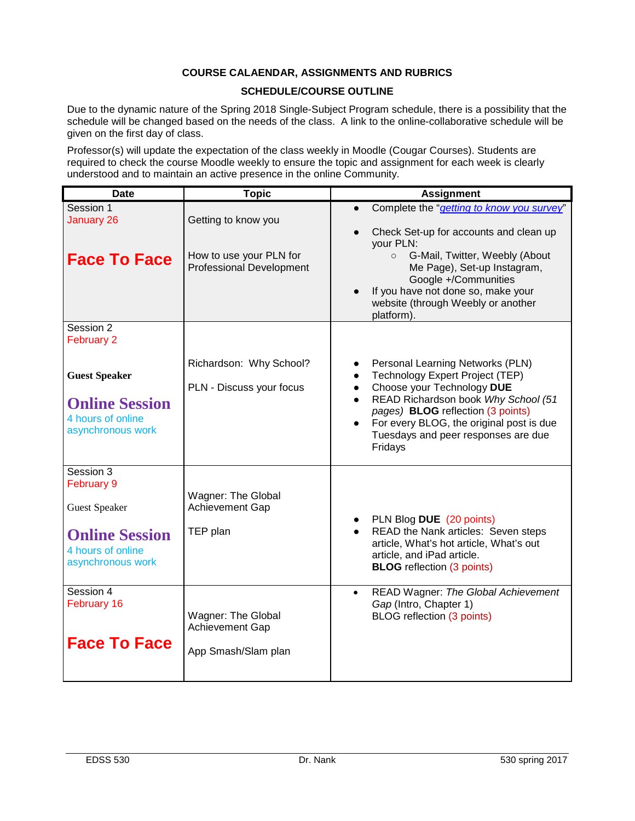# **COURSE CALAENDAR, ASSIGNMENTS AND RUBRICS**

## **SCHEDULE/COURSE OUTLINE**

Due to the dynamic nature of the Spring 2018 Single-Subject Program schedule, there is a possibility that the schedule will be changed based on the needs of the class. A link to the online-collaborative schedule will be given on the first day of class.

Professor(s) will update the expectation of the class weekly in Moodle (Cougar Courses). Students are required to check the course Moodle weekly to ensure the topic and assignment for each week is clearly understood and to maintain an active presence in the online Community.

| <b>Date</b>                                                                                                        | <b>Topic</b>                                                                      | <b>Assignment</b>                                                                                                                                                                                                                                                                                     |
|--------------------------------------------------------------------------------------------------------------------|-----------------------------------------------------------------------------------|-------------------------------------------------------------------------------------------------------------------------------------------------------------------------------------------------------------------------------------------------------------------------------------------------------|
| Session 1<br><b>January 26</b><br><b>Face To Face</b>                                                              | Getting to know you<br>How to use your PLN for<br><b>Professional Development</b> | Complete the "getting to know you survey"<br>Check Set-up for accounts and clean up<br>your PLN:<br>G-Mail, Twitter, Weebly (About<br>$\circ$<br>Me Page), Set-up Instagram,<br>Google +/Communities<br>If you have not done so, make your<br>website (through Weebly or another<br>platform).        |
| Session 2<br>February 2<br><b>Guest Speaker</b><br><b>Online Session</b><br>4 hours of online<br>asynchronous work | Richardson: Why School?<br>PLN - Discuss your focus                               | Personal Learning Networks (PLN)<br>Technology Expert Project (TEP)<br>Choose your Technology DUE<br>$\bullet$<br>READ Richardson book Why School (51<br>$\bullet$<br>pages) BLOG reflection (3 points)<br>For every BLOG, the original post is due<br>Tuesdays and peer responses are due<br>Fridays |
| Session 3<br>February 9<br><b>Guest Speaker</b><br><b>Online Session</b><br>4 hours of online<br>asynchronous work | Wagner: The Global<br>Achievement Gap<br>TEP plan                                 | PLN Blog DUE (20 points)<br>READ the Nank articles: Seven steps<br>article, What's hot article, What's out<br>article, and iPad article.<br><b>BLOG</b> reflection (3 points)                                                                                                                         |
| Session 4<br>February 16<br><b>Face To Face</b>                                                                    | Wagner: The Global<br>Achievement Gap<br>App Smash/Slam plan                      | READ Wagner: The Global Achievement<br>$\bullet$<br>Gap (Intro, Chapter 1)<br>BLOG reflection (3 points)                                                                                                                                                                                              |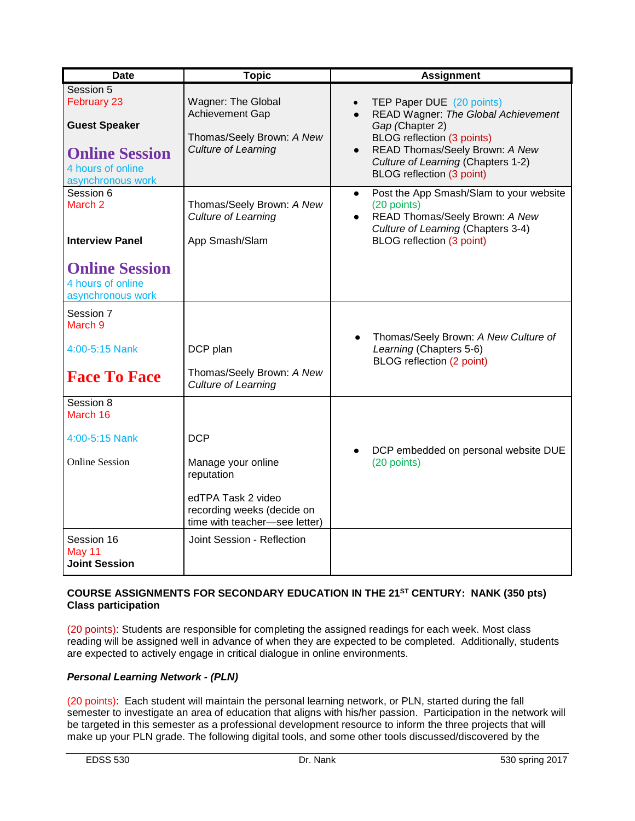| Wagner: The Global<br>Achievement Gap<br>Thomas/Seely Brown: A New                                                    |                                                                                                                                                                                                                                                   |
|-----------------------------------------------------------------------------------------------------------------------|---------------------------------------------------------------------------------------------------------------------------------------------------------------------------------------------------------------------------------------------------|
| <b>Culture of Learning</b>                                                                                            | TEP Paper DUE (20 points)<br>READ Wagner: The Global Achievement<br>$\bullet$<br>Gap (Chapter 2)<br><b>BLOG</b> reflection (3 points)<br>READ Thomas/Seely Brown: A New<br>Culture of Learning (Chapters 1-2)<br><b>BLOG</b> reflection (3 point) |
| Thomas/Seely Brown: A New<br>Culture of Learning<br>App Smash/Slam                                                    | Post the App Smash/Slam to your website<br>$\bullet$<br>(20 points)<br>READ Thomas/Seely Brown: A New<br>$\bullet$<br>Culture of Learning (Chapters 3-4)<br><b>BLOG</b> reflection (3 point)                                                      |
| DCP plan<br>Thomas/Seely Brown: A New<br><b>Culture of Learning</b>                                                   | Thomas/Seely Brown: A New Culture of<br>Learning (Chapters 5-6)<br>BLOG reflection (2 point)                                                                                                                                                      |
| Manage your online<br>reputation<br>edTPA Task 2 video<br>recording weeks (decide on<br>time with teacher-see letter) | DCP embedded on personal website DUE<br>(20 points)                                                                                                                                                                                               |
|                                                                                                                       | Joint Session - Reflection                                                                                                                                                                                                                        |

# **COURSE ASSIGNMENTS FOR SECONDARY EDUCATION IN THE 21ST CENTURY: NANK (350 pts) Class participation**

(20 points): Students are responsible for completing the assigned readings for each week. Most class reading will be assigned well in advance of when they are expected to be completed. Additionally, students are expected to actively engage in critical dialogue in online environments.

# *Personal Learning Network - (PLN)*

(20 points): Each student will maintain the personal learning network, or PLN, started during the fall semester to investigate an area of education that aligns with his/her passion. Participation in the network will be targeted in this semester as a professional development resource to inform the three projects that will make up your PLN grade. The following digital tools, and some other tools discussed/discovered by the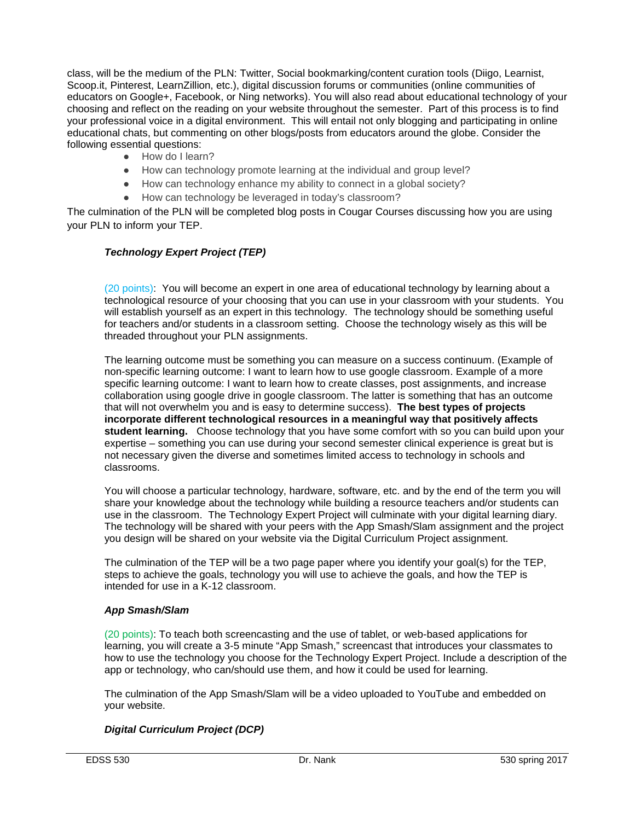class, will be the medium of the PLN: Twitter, Social bookmarking/content curation tools (Diigo, Learnist, Scoop.it, Pinterest, LearnZillion, etc.), digital discussion forums or communities (online communities of educators on Google+, Facebook, or Ning networks). You will also read about educational technology of your choosing and reflect on the reading on your website throughout the semester. Part of this process is to find your professional voice in a digital environment. This will entail not only blogging and participating in online educational chats, but commenting on other blogs/posts from educators around the globe. Consider the following essential questions:

- How do I learn?
- How can technology promote learning at the individual and group level?
- How can technology enhance my ability to connect in a global society?
- How can technology be leveraged in today's classroom?

The culmination of the PLN will be completed blog posts in Cougar Courses discussing how you are using your PLN to inform your TEP.

# *Technology Expert Project (TEP)*

(20 points): You will become an expert in one area of educational technology by learning about a technological resource of your choosing that you can use in your classroom with your students. You will establish yourself as an expert in this technology. The technology should be something useful for teachers and/or students in a classroom setting. Choose the technology wisely as this will be threaded throughout your PLN assignments.

The learning outcome must be something you can measure on a success continuum. (Example of non-specific learning outcome: I want to learn how to use google classroom. Example of a more specific learning outcome: I want to learn how to create classes, post assignments, and increase collaboration using google drive in google classroom. The latter is something that has an outcome that will not overwhelm you and is easy to determine success). **The best types of projects incorporate different technological resources in a meaningful way that positively affects student learning.** Choose technology that you have some comfort with so you can build upon your expertise – something you can use during your second semester clinical experience is great but is not necessary given the diverse and sometimes limited access to technology in schools and classrooms.

You will choose a particular technology, hardware, software, etc. and by the end of the term you will share your knowledge about the technology while building a resource teachers and/or students can use in the classroom. The Technology Expert Project will culminate with your digital learning diary. The technology will be shared with your peers with the App Smash/Slam assignment and the project you design will be shared on your website via the Digital Curriculum Project assignment.

The culmination of the TEP will be a two page paper where you identify your goal(s) for the TEP, steps to achieve the goals, technology you will use to achieve the goals, and how the TEP is intended for use in a K-12 classroom.

## *App Smash/Slam*

(20 points): To teach both screencasting and the use of tablet, or web-based applications for learning, you will create a 3-5 minute "App Smash," screencast that introduces your classmates to how to use the technology you choose for the Technology Expert Project. Include a description of the app or technology, who can/should use them, and how it could be used for learning.

The culmination of the App Smash/Slam will be a video uploaded to YouTube and embedded on your website.

## *Digital Curriculum Project (DCP)*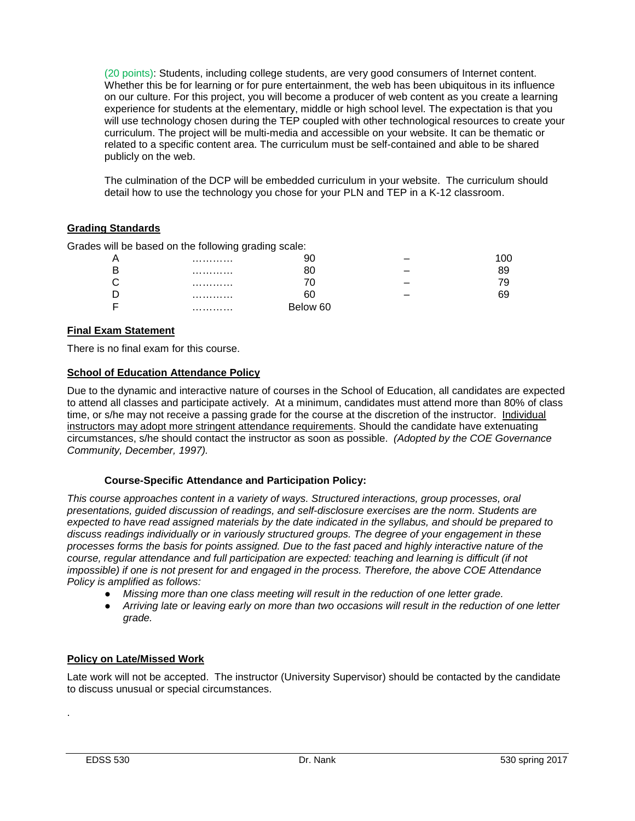(20 points): Students, including college students, are very good consumers of Internet content. Whether this be for learning or for pure entertainment, the web has been ubiquitous in its influence on our culture. For this project, you will become a producer of web content as you create a learning experience for students at the elementary, middle or high school level. The expectation is that you will use technology chosen during the TEP coupled with other technological resources to create your curriculum. The project will be multi-media and accessible on your website. It can be thematic or related to a specific content area. The curriculum must be self-contained and able to be shared publicly on the web.

The culmination of the DCP will be embedded curriculum in your website. The curriculum should detail how to use the technology you chose for your PLN and TEP in a K-12 classroom.

# <span id="page-8-0"></span>**Grading Standards**

Grades will be based on the following grading scale:

| Α |   |       |     |
|---|---|-------|-----|
| B | . |       | 39. |
| С | . |       | 79. |
| D |   |       | ວອ  |
| E | . | ow 60 |     |

## **Final Exam Statement**

There is no final exam for this course.

## <span id="page-8-1"></span>**School of Education Attendance Policy**

Due to the dynamic and interactive nature of courses in the School of Education, all candidates are expected to attend all classes and participate actively. At a minimum, candidates must attend more than 80% of class time, or s/he may not receive a passing grade for the course at the discretion of the instructor. Individual instructors may adopt more stringent attendance requirements. Should the candidate have extenuating circumstances, s/he should contact the instructor as soon as possible. *(Adopted by the COE Governance Community, December, 1997).*

## **Course-Specific Attendance and Participation Policy:**

*This course approaches content in a variety of ways. Structured interactions, group processes, oral presentations, guided discussion of readings, and self-disclosure exercises are the norm. Students are expected to have read assigned materials by the date indicated in the syllabus, and should be prepared to discuss readings individually or in variously structured groups. The degree of your engagement in these processes forms the basis for points assigned. Due to the fast paced and highly interactive nature of the course, regular attendance and full participation are expected: teaching and learning is difficult (if not impossible) if one is not present for and engaged in the process. Therefore, the above COE Attendance Policy is amplified as follows:*

- *Missing more than one class meeting will result in the reduction of one letter grade.*
- *Arriving late or leaving early on more than two occasions will result in the reduction of one letter grade.*

## **Policy on Late/Missed Work**

Late work will not be accepted. The instructor (University Supervisor) should be contacted by the candidate to discuss unusual or special circumstances.

.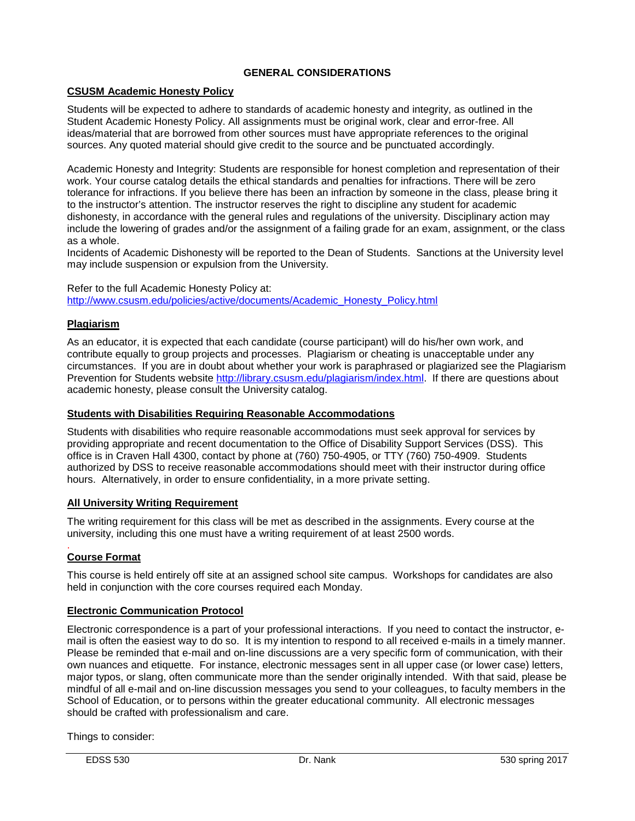# **GENERAL CONSIDERATIONS**

## **CSUSM Academic Honesty Policy**

Students will be expected to adhere to standards of academic honesty and integrity, as outlined in the Student Academic Honesty Policy. All assignments must be original work, clear and error-free. All ideas/material that are borrowed from other sources must have appropriate references to the original sources. Any quoted material should give credit to the source and be punctuated accordingly.

Academic Honesty and Integrity: Students are responsible for honest completion and representation of their work. Your course catalog details the ethical standards and penalties for infractions. There will be zero tolerance for infractions. If you believe there has been an infraction by someone in the class, please bring it to the instructor's attention. The instructor reserves the right to discipline any student for academic dishonesty, in accordance with the general rules and regulations of the university. Disciplinary action may include the lowering of grades and/or the assignment of a failing grade for an exam, assignment, or the class as a whole.

Incidents of Academic Dishonesty will be reported to the Dean of Students. Sanctions at the University level may include suspension or expulsion from the University.

Refer to the full Academic Honesty Policy at: [http://www.csusm.edu/policies/active/documents/Academic\\_Honesty\\_Policy.html](http://www.csusm.edu/policies/active/documents/Academic_Honesty_Policy.html)

## **Plagiarism**

As an educator, it is expected that each candidate (course participant) will do his/her own work, and contribute equally to group projects and processes. Plagiarism or cheating is unacceptable under any circumstances. If you are in doubt about whether your work is paraphrased or plagiarized see the Plagiarism Prevention for Students website [http://library.csusm.edu/plagiarism/index.html.](http://library.csusm.edu/plagiarism/index.html) If there are questions about academic honesty, please consult the University catalog.

## **Students with Disabilities Requiring Reasonable Accommodations**

Students with disabilities who require reasonable accommodations must seek approval for services by providing appropriate and recent documentation to the Office of Disability Support Services (DSS). This office is in Craven Hall 4300, contact by phone at (760) 750-4905, or TTY (760) 750-4909. Students authorized by DSS to receive reasonable accommodations should meet with their instructor during office hours. Alternatively, in order to ensure confidentiality, in a more private setting.

## **All University Writing Requirement**

The writing requirement for this class will be met as described in the assignments. Every course at the university, including this one must have a writing requirement of at least 2500 words.

#### . **Course Format**

This course is held entirely off site at an assigned school site campus. Workshops for candidates are also held in conjunction with the core courses required each Monday.

## **Electronic Communication Protocol**

Electronic correspondence is a part of your professional interactions. If you need to contact the instructor, email is often the easiest way to do so. It is my intention to respond to all received e-mails in a timely manner. Please be reminded that e-mail and on-line discussions are a very specific form of communication, with their own nuances and etiquette. For instance, electronic messages sent in all upper case (or lower case) letters, major typos, or slang, often communicate more than the sender originally intended. With that said, please be mindful of all e-mail and on-line discussion messages you send to your colleagues, to faculty members in the School of Education, or to persons within the greater educational community. All electronic messages should be crafted with professionalism and care.

Things to consider: